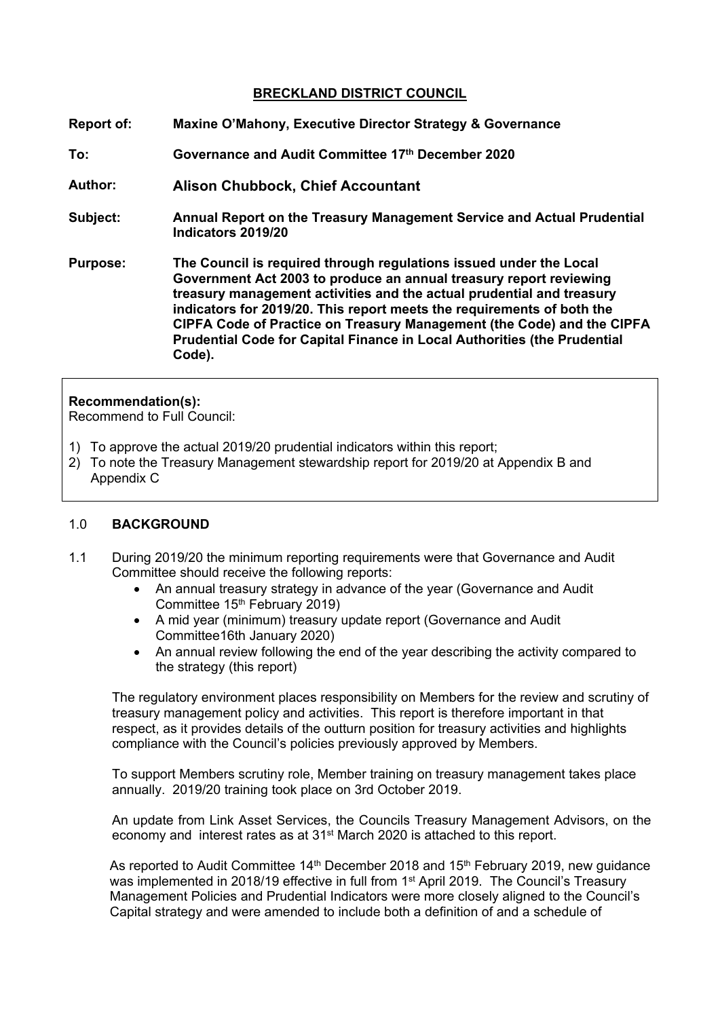#### **BRECKLAND DISTRICT COUNCIL**

**Report of: Maxine O'Mahony, Executive Director Strategy & Governance To: Governance and Audit Committee 17th December 2020 Author: Alison Chubbock, Chief Accountant Subject: Annual Report on the Treasury Management Service and Actual Prudential Indicators 2019/20 Purpose: The Council is required through regulations issued under the Local Government Act 2003 to produce an annual treasury report reviewing treasury management activities and the actual prudential and treasury indicators for 2019/20. This report meets the requirements of both the CIPFA Code of Practice on Treasury Management (the Code) and the CIPFA Prudential Code for Capital Finance in Local Authorities (the Prudential Code).**

#### **Recommendation(s):**

Recommend to Full Council:

- 1) To approve the actual 2019/20 prudential indicators within this report;
- 2) To note the Treasury Management stewardship report for 2019/20 at Appendix B and Appendix C

#### 1.0 **BACKGROUND**

- 1.1 During 2019/20 the minimum reporting requirements were that Governance and Audit Committee should receive the following reports:
	- An annual treasury strategy in advance of the year (Governance and Audit Committee 15th February 2019)
	- A mid year (minimum) treasury update report (Governance and Audit Committee16th January 2020)
	- An annual review following the end of the year describing the activity compared to the strategy (this report)

The regulatory environment places responsibility on Members for the review and scrutiny of treasury management policy and activities. This report is therefore important in that respect, as it provides details of the outturn position for treasury activities and highlights compliance with the Council's policies previously approved by Members.

To support Members scrutiny role, Member training on treasury management takes place annually. 2019/20 training took place on 3rd October 2019.

An update from Link Asset Services, the Councils Treasury Management Advisors, on the economy and interest rates as at 31st March 2020 is attached to this report.

As reported to Audit Committee  $14<sup>th</sup>$  December 2018 and  $15<sup>th</sup>$  February 2019, new guidance was implemented in 2018/19 effective in full from 1<sup>st</sup> April 2019. The Council's Treasury Management Policies and Prudential Indicators were more closely aligned to the Council's Capital strategy and were amended to include both a definition of and a schedule of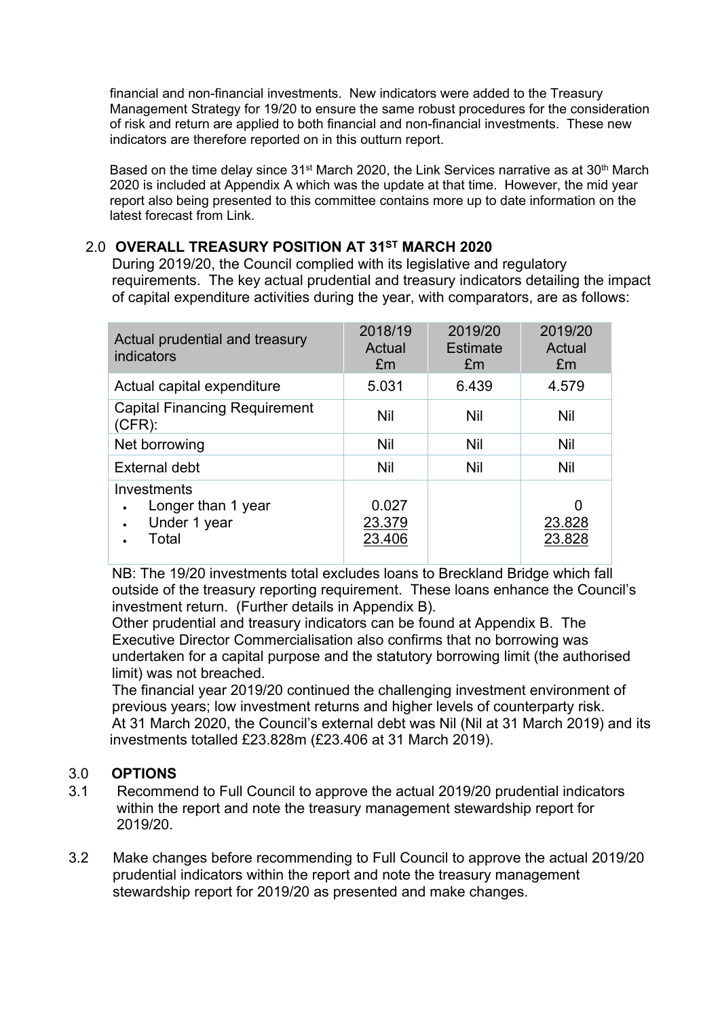financial and non-financial investments. New indicators were added to the Treasury Management Strategy for 19/20 to ensure the same robust procedures for the consideration of risk and return are applied to both financial and non-financial investments. These new indicators are therefore reported on in this outturn report.

Based on the time delay since 31<sup>st</sup> March 2020, the Link Services narrative as at 30<sup>th</sup> March 2020 is included at Appendix A which was the update at that time. However, the mid year report also being presented to this committee contains more up to date information on the latest forecast from Link.

#### 2.0 **OVERALL TREASURY POSITION AT 31ST MARCH 2020**

During 2019/20, the Council complied with its legislative and regulatory requirements. The key actual prudential and treasury indicators detailing the impact of capital expenditure activities during the year, with comparators, are as follows:

| Actual prudential and treasury<br>indicators               | 2018/19<br>Actual<br>£m   | 2019/20<br><b>Estimate</b><br>£m | 2019/20<br>Actual<br>£m |
|------------------------------------------------------------|---------------------------|----------------------------------|-------------------------|
| Actual capital expenditure                                 | 5.031                     | 6.439                            | 4.579                   |
| <b>Capital Financing Requirement</b><br>$(CFR)$ :          | Nil                       | Nil                              | Nil                     |
| Net borrowing                                              | Nil                       | Nil                              | Nil                     |
| <b>External debt</b>                                       | <b>Nil</b>                | Nil                              | Nil                     |
| Investments<br>Longer than 1 year<br>Under 1 year<br>Total | 0.027<br>23.379<br>23.406 |                                  | 0<br>23.828<br>23.828   |

NB: The 19/20 investments total excludes loans to Breckland Bridge which fall outside of the treasury reporting requirement. These loans enhance the Council's investment return. (Further details in Appendix B).

Other prudential and treasury indicators can be found at Appendix B. The Executive Director Commercialisation also confirms that no borrowing was undertaken for a capital purpose and the statutory borrowing limit (the authorised limit) was not breached.

The financial year 2019/20 continued the challenging investment environment of previous years; low investment returns and higher levels of counterparty risk. At 31 March 2020, the Council's external debt was Nil (Nil at 31 March 2019) and its investments totalled £23.828m (£23.406 at 31 March 2019).

### 3.0 **OPTIONS**

- 3.1 Recommend to Full Council to approve the actual 2019/20 prudential indicators within the report and note the treasury management stewardship report for 2019/20.
- 3.2 Make changes before recommending to Full Council to approve the actual 2019/20 prudential indicators within the report and note the treasury management stewardship report for 2019/20 as presented and make changes.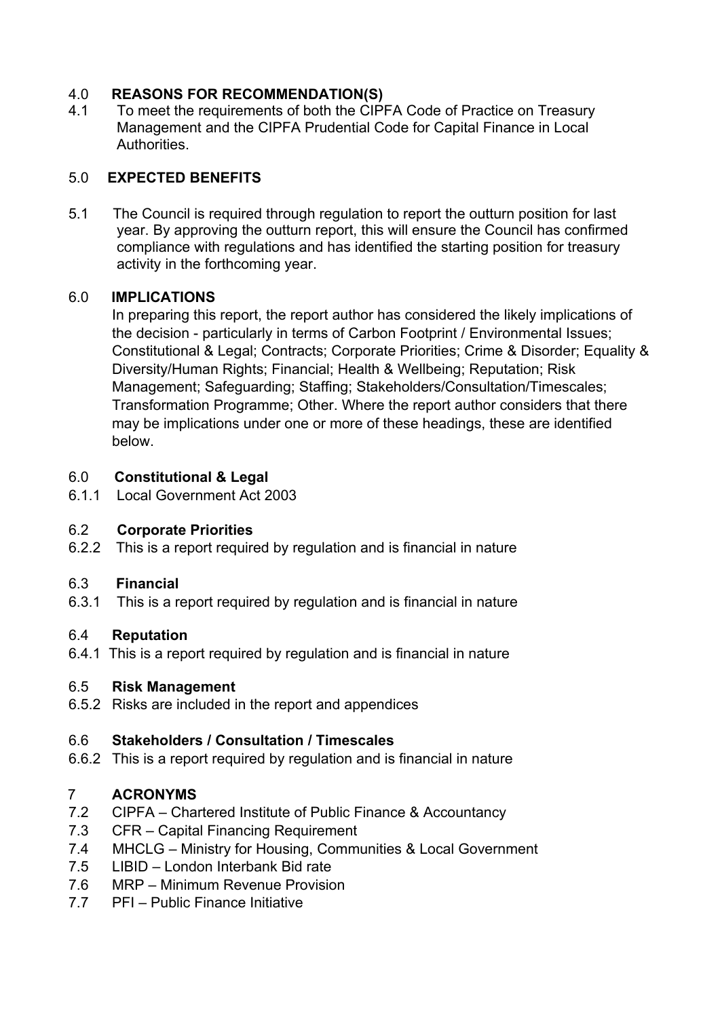# 4.0 **REASONS FOR RECOMMENDATION(S)**

4.1 To meet the requirements of both the CIPFA Code of Practice on Treasury Management and the CIPFA Prudential Code for Capital Finance in Local Authorities.

# 5.0 **EXPECTED BENEFITS**

5.1 The Council is required through regulation to report the outturn position for last year. By approving the outturn report, this will ensure the Council has confirmed compliance with regulations and has identified the starting position for treasury activity in the forthcoming year.

# 6.0 **IMPLICATIONS**

In preparing this report, the report author has considered the likely implications of the decision - particularly in terms of Carbon Footprint / Environmental Issues; Constitutional & Legal; Contracts; Corporate Priorities; Crime & Disorder; Equality & Diversity/Human Rights; Financial; Health & Wellbeing; Reputation; Risk Management; Safeguarding; Staffing; Stakeholders/Consultation/Timescales; Transformation Programme; Other. Where the report author considers that there may be implications under one or more of these headings, these are identified below.

# 6.0 **Constitutional & Legal**

6.1.1Local Government Act 2003

### 6.2 **Corporate Priorities**

6.2.2 This is a report required by regulation and is financial in nature

### 6.3 **Financial**

6.3.1 This is a report required by regulation and is financial in nature

### 6.4 **Reputation**

6.4.1 This is a report required by regulation and is financial in nature

# 6.5 **Risk Management**

6.5.2 Risks are included in the report and appendices

### 6.6 **Stakeholders / Consultation / Timescales**

6.6.2 This is a report required by regulation and is financial in nature

# 7 **ACRONYMS**

- 7.2 CIPFA Chartered Institute of Public Finance & Accountancy
- 7.3 CFR Capital Financing Requirement
- 7.4 MHCLG Ministry for Housing, Communities & Local Government
- 7.5 LIBID London Interbank Bid rate
- 7.6 MRP Minimum Revenue Provision
- 7.7 PFI Public Finance Initiative